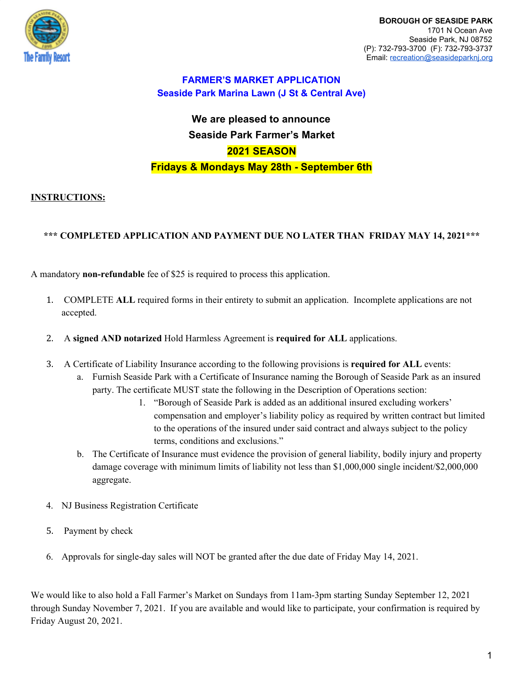

# **We are pleased to announce Seaside Park Farmer's Market 2021 SEASON Fridays & Mondays May 28th - September 6th**

### **INSTRUCTIONS:**

### **\*\*\* COMPLETED APPLICATION AND PAYMENT DUE NO LATER THAN FRIDAY MAY 14, 2021\*\*\***

A mandatory **non-refundable** fee of \$25 is required to process this application.

- 1. COMPLETE **ALL** required forms in their entirety to submit an application. Incomplete applications are not accepted.
- 2. A **signed AND notarized** Hold Harmless Agreement is **required for ALL** applications.
- 3. A Certificate of Liability Insurance according to the following provisions is **required for ALL** events:
	- a. Furnish Seaside Park with a Certificate of Insurance naming the Borough of Seaside Park as an insured party. The certificate MUST state the following in the Description of Operations section:
		- 1. "Borough of Seaside Park is added as an additional insured excluding workers' compensation and employer's liability policy as required by written contract but limited to the operations of the insured under said contract and always subject to the policy terms, conditions and exclusions."
	- b. The Certificate of Insurance must evidence the provision of general liability, bodily injury and property damage coverage with minimum limits of liability not less than \$1,000,000 single incident/\$2,000,000 aggregate.
- 4. NJ Business Registration Certificate
- 5. Payment by check
- 6. Approvals for single-day sales will NOT be granted after the due date of Friday May 14, 2021.

We would like to also hold a Fall Farmer's Market on Sundays from 11am-3pm starting Sunday September 12, 2021 through Sunday November 7, 2021. If you are available and would like to participate, your confirmation is required by Friday August 20, 2021.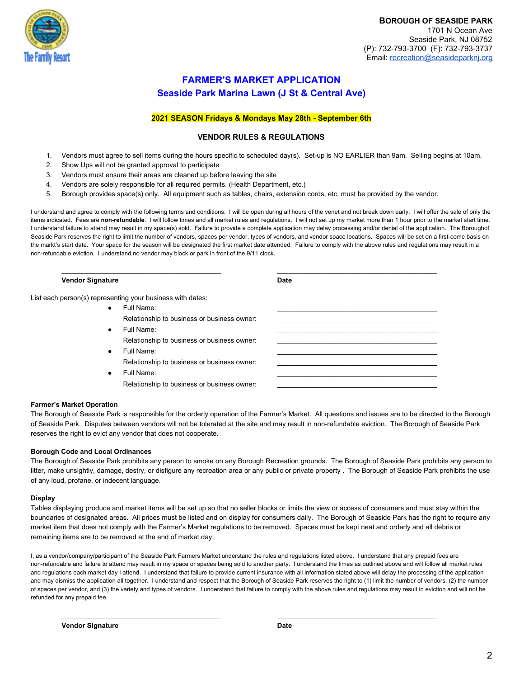

### **2021 SEASON Fridays & Mondays May 28th - September 6th**

### **VENDOR RULES & REGULATIONS**

- 1. Vendors must agree to sell items during the hours specific to scheduled day(s). Set-up is NO EARLIER than 9am. Selling begins at 10am.
- 2. Show Ups will not be granted approval to participate
- 3. Vendors must ensure their areas are cleaned up before leaving the site
- 4. Vendors are solely responsible for all required permits. (Health Department, etc.)
- 5. Borough provides space(s) only. All equipment such as tables, chairs, extension cords, etc. must be provided by the vendor.

I understand and agree to comply with the following terms and conditions. I will be open during all hours of the venet and not break down early. I will offer the sale of only the items indicated. Fees are **non-refundable**. I will follow times and all market rules and regulations. I will not set up my market more than 1 hour prior to the market start time. I understand failure to attend may result in my space(s) sold. Failure to provide a complete application may delay processing and/or denial of the application. The Boroughof Seaside Park reserves the right to limit the number of vendors, spaces per vendor, types of vendors, and vendor space locations. Spaces will be set on a first-come basis on the markt's start date. Your space for the season will be designated the first market date attended. Failure to comply with the above rules and regulations may result in a non-refundable eviction. I understand no vendor may block or park in front of the 9/11 clock.

\_\_\_\_\_\_\_\_\_\_\_\_\_\_\_\_\_\_\_\_\_\_\_\_\_\_\_\_\_\_\_\_\_\_\_\_\_\_\_\_\_\_ \_\_\_\_\_\_\_\_\_\_\_\_\_\_\_\_\_\_\_\_\_\_\_\_\_\_\_\_\_\_\_\_\_\_\_\_\_\_\_\_\_\_

#### **Vendor Signature Date**

List each person(s) representing your business with dates:

- Full Name: \_\_\_\_\_\_\_\_\_\_\_\_\_\_\_\_\_\_\_\_\_\_\_\_\_\_\_\_\_\_\_\_\_\_\_\_\_\_\_\_\_\_ Relationship to business or business owner: ● Full Name: \_\_\_\_\_\_\_\_\_\_\_\_\_\_\_\_\_\_\_\_\_\_\_\_\_\_\_\_\_\_\_\_\_\_\_\_\_\_\_\_\_\_ Relationship to business or business owner: ● Full Name: \_\_\_\_\_\_\_\_\_\_\_\_\_\_\_\_\_\_\_\_\_\_\_\_\_\_\_\_\_\_\_\_\_\_\_\_\_\_\_\_\_\_ Relationship to business or business owner:
	- Full Name: \_\_\_\_\_\_\_\_\_\_\_\_\_\_\_\_\_\_\_\_\_\_\_\_\_\_\_\_\_\_\_\_\_\_\_\_\_\_\_\_\_\_ Relationship to business or business owner:

#### **Farmer's Market Operation**

The Borough of Seaside Park is responsible for the orderly operation of the Farmer's Market. All questions and issues are to be directed to the Borough of Seaside Park. Disputes between vendors will not be tolerated at the site and may result in non-refundable eviction. The Borough of Seaside Park reserves the right to evict any vendor that does not cooperate.

#### **Borough Code and Local Ordinances**

The Borough of Seaside Park prohibits any person to smoke on any Borough Recreation grounds. The Borough of Seaside Park prohibits any person to litter, make unsightly, damage, destry, or disfigure any recreation area or any public or private property . The Borough of Seaside Park prohibits the use of any loud, profane, or indecent language.

#### **Display**

Tables displaying produce and market items will be set up so that no seller blocks or limits the view or access of consumers and must stay within the boundaries of designated areas. All prices must be listed and on display for consumers daily. The Borough of Seaside Park has the right to require any market item that does not comply with the Farmer's Market regulations to be removed. Spaces must be kept neat and orderly and all debris or remaining items are to be removed at the end of market day.

I, as a vendor/company/participant of the Seaside Park Farmers Market understand the rules and regulations listed above. I understand that any prepaid fees are non-refundable and failure to attend may result in my space or spaces being sold to another party. I understand the times as outlined above and will follow all market rules and regulations each market day I attend. I understand that failure to provide current insurance with all information stated above will delay the processing of the application and may dismiss the application all together. I understand and respect that the Borough of Seaside Park reserves the right to (1) limit the number of vendors, (2) the number of spaces per vendor, and (3) the variety and types of vendors. I understand that failure to comply with the above rules and regulations may result in eviction and will not be refunded for any prepaid fee.

\_\_\_\_\_\_\_\_\_\_\_\_\_\_\_\_\_\_\_\_\_\_\_\_\_\_\_\_\_\_\_\_\_\_\_\_\_\_\_\_\_\_ \_\_\_\_\_\_\_\_\_\_\_\_\_\_\_\_\_\_\_\_\_\_\_\_\_\_\_\_\_\_\_\_\_\_\_\_\_\_\_\_\_\_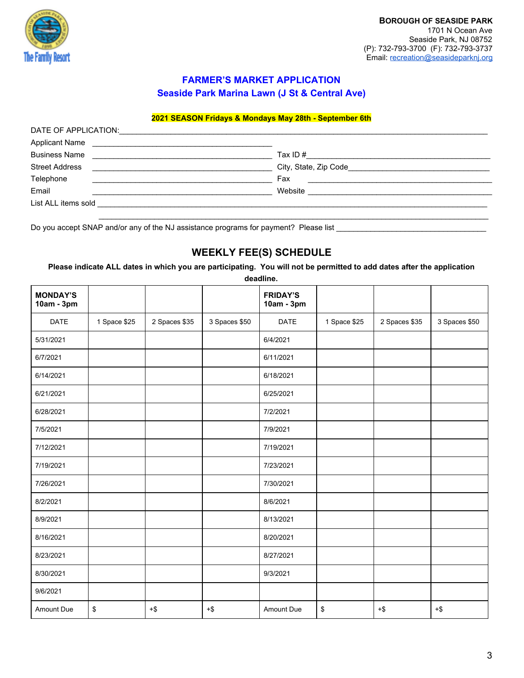

# **FARMER'S MARKET APPLICATION**

**Seaside Park Marina Lawn (J St & Central Ave)**

### **2021 SEASON Fridays & Mondays May 28th - September 6th**

| DATE OF APPLICATION:                                                                                                                                                                                                                                          |                                                                                                                                  |  |
|---------------------------------------------------------------------------------------------------------------------------------------------------------------------------------------------------------------------------------------------------------------|----------------------------------------------------------------------------------------------------------------------------------|--|
| <b>Applicant Name</b><br><u> El antiga de la contenentación de la contenentación de la contenentación de la contenentación de la contenentación de la contenentación de la contenentación de la contenentación de la contenentación de la contenentación </u> |                                                                                                                                  |  |
| <b>Business Name</b><br><u> 1989 - John Stein, Amerikaansk politiker (</u>                                                                                                                                                                                    | Tax ID $#$<br><u> 1980 - Jan Stein Harry Harry Harry Harry Harry Harry Harry Harry Harry Harry Harry Harry Harry Harry Harry</u> |  |
| <b>Street Address</b>                                                                                                                                                                                                                                         |                                                                                                                                  |  |
| Telephone                                                                                                                                                                                                                                                     | Fax                                                                                                                              |  |
| Email                                                                                                                                                                                                                                                         | Website                                                                                                                          |  |
| List ALL items sold and the state of the state of the state of the state of the state of the state of the state of the state of the state of the state of the state of the state of the state of the state of the state of the                                |                                                                                                                                  |  |
|                                                                                                                                                                                                                                                               |                                                                                                                                  |  |

Do you accept SNAP and/or any of the NJ assistance programs for payment? Please list

# **WEEKLY FEE(S) SCHEDULE**

**Please indicate ALL dates in which you are participating. You will not be permitted to add dates after the application deadline.**

| <b>MONDAY'S</b><br>10am - 3pm |              |               |               | <b>FRIDAY'S</b><br>10am - 3pm |              |               |               |
|-------------------------------|--------------|---------------|---------------|-------------------------------|--------------|---------------|---------------|
| <b>DATE</b>                   | 1 Space \$25 | 2 Spaces \$35 | 3 Spaces \$50 | <b>DATE</b>                   | 1 Space \$25 | 2 Spaces \$35 | 3 Spaces \$50 |
| 5/31/2021                     |              |               |               | 6/4/2021                      |              |               |               |
| 6/7/2021                      |              |               |               | 6/11/2021                     |              |               |               |
| 6/14/2021                     |              |               |               | 6/18/2021                     |              |               |               |
| 6/21/2021                     |              |               |               | 6/25/2021                     |              |               |               |
| 6/28/2021                     |              |               |               | 7/2/2021                      |              |               |               |
| 7/5/2021                      |              |               |               | 7/9/2021                      |              |               |               |
| 7/12/2021                     |              |               |               | 7/19/2021                     |              |               |               |
| 7/19/2021                     |              |               |               | 7/23/2021                     |              |               |               |
| 7/26/2021                     |              |               |               | 7/30/2021                     |              |               |               |
| 8/2/2021                      |              |               |               | 8/6/2021                      |              |               |               |
| 8/9/2021                      |              |               |               | 8/13/2021                     |              |               |               |
| 8/16/2021                     |              |               |               | 8/20/2021                     |              |               |               |
| 8/23/2021                     |              |               |               | 8/27/2021                     |              |               |               |
| 8/30/2021                     |              |               |               | 9/3/2021                      |              |               |               |
| 9/6/2021                      |              |               |               |                               |              |               |               |
| Amount Due                    | \$           | $+\$$         | $+$ \$        | Amount Due                    | \$           | $+\$$         | $+\$$         |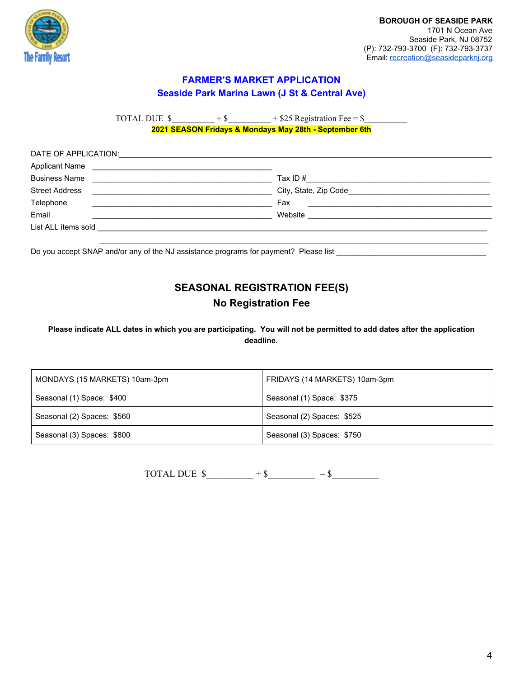

TOTAL DUE  $\$$  + \$  $\quad$  + \$25 Registration Fee = \$

**2021 SEASON Fridays & Mondays May 28th - September 6th**

| DATE OF APPLICATION:                                                        |                                                                                                                                 |  |
|-----------------------------------------------------------------------------|---------------------------------------------------------------------------------------------------------------------------------|--|
| <b>Applicant Name</b><br><u> 1989 - John Stein, Amerikaansk politiker (</u> |                                                                                                                                 |  |
| <b>Business Name</b>                                                        |                                                                                                                                 |  |
| <b>Street Address</b>                                                       |                                                                                                                                 |  |
| Telephone                                                                   | Fax                                                                                                                             |  |
| Email                                                                       | Website<br><u> 1980 - Jan Stein Stein Stein Stein Stein Stein Stein Stein Stein Stein Stein Stein Stein Stein Stein Stein S</u> |  |
|                                                                             |                                                                                                                                 |  |
|                                                                             |                                                                                                                                 |  |

Do you accept SNAP and/or any of the NJ assistance programs for payment? Please list \_\_\_\_\_\_\_\_\_\_\_\_\_\_\_\_\_\_\_\_\_\_\_\_\_

# **SEASONAL REGISTRATION FEE(S) No Registration Fee**

**Please indicate ALL dates in which you are participating. You will not be permitted to add dates after the application deadline.**

| MONDAYS (15 MARKETS) 10am-3pm | FRIDAYS (14 MARKETS) 10am-3pm |
|-------------------------------|-------------------------------|
| Seasonal (1) Space: \$400     | Seasonal (1) Space: \$375     |
| Seasonal (2) Spaces: \$560    | Seasonal (2) Spaces: \$525    |
| Seasonal (3) Spaces: \$800    | Seasonal (3) Spaces: \$750    |

TOTAL DUE  $\text{\$}$  + \\epsilon \summarrow = \\epsilon \summarrow = \\epsilon \summarrow = \\epsilon \summarrow = \\epsilon \summarrow = \\ \summarrow = \\ \summarrow = \\ \summarrow = \\ \summarrow = \\ \summarrow = \\ \su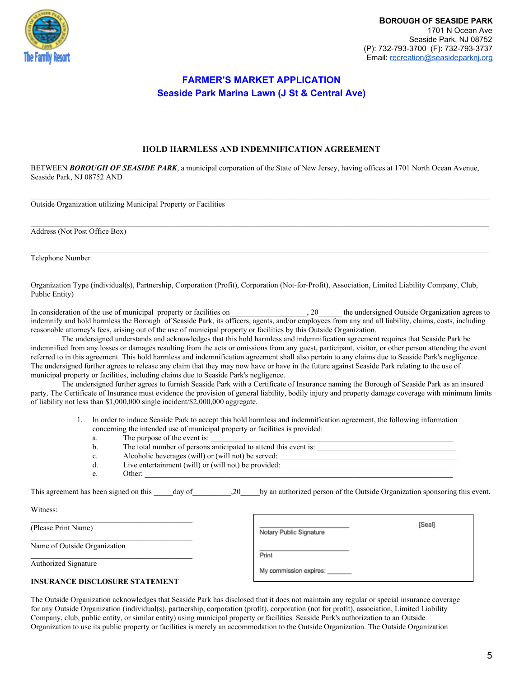

### **HOLD HARMLESS AND INDEMNIFICATION AGREEMENT**

BETWEEN *BOROUGH OF SEASIDE PARK*, a municipal corporation of the State of New Jersey, having offices at 1701 North Ocean Avenue, Seaside Park, NJ 08752 AND

Outside Organization utilizing Municipal Property or Facilities

Address (Not Post Office Box)

Telephone Number

Witness:

Organization Type (individual(s), Partnership, Corporation (Profit), Corporation (Not-for-Profit), Association, Limited Liability Company, Club, Public Entity)

In consideration of the use of municipal property or facilities on\_\_\_\_\_\_\_\_\_\_\_\_\_\_\_\_\_\_\_\_, 20\_\_\_\_\_\_ the undersigned Outside Organization agrees to indemnify and hold harmless the Borough of Seaside Park, its officers, agents, and/or employees from any and all liability, claims, costs, including reasonable attorney's fees, arising out of the use of municipal property or facilities by this Outside Organization.

The undersigned understands and acknowledges that this hold harmless and indemnification agreement requires that Seaside Park be indemnified from any losses or damages resulting from the acts or omissions from any guest, participant, visitor, or other person attending the event referred to in this agreement. This hold harmless and indemnification agreement shall also pertain to any claims due to Seaside Park's negligence. The undersigned further agrees to release any claim that they may now have or have in the future against Seaside Park relating to the use of municipal property or facilities, including claims due to Seaside Park's negligence.

The undersigned further agrees to furnish Seaside Park with a Certificate of Insurance naming the Borough of Seaside Park as an insured party. The Certificate of Insurance must evidence the provision of general liability, bodily injury and property damage coverage with minimum limits of liability not less than \$1,000,000 single incident/\$2,000,000 aggregate.

- 1. In order to induce Seaside Park to accept this hold harmless and indemnification agreement, the following information concerning the intended use of municipal property or facilities is provided:
- a. The purpose of the event is: b. The total number of persons anticipated to attend this event is: c. Alcoholic beverages (will) or (will not) be served: \_\_\_\_\_\_\_\_\_\_\_\_\_\_\_\_\_\_\_\_\_\_\_\_\_\_\_\_\_\_\_\_\_\_\_\_\_\_\_\_\_\_\_\_\_\_ d. Live entertainment (will) or (will not) be provided: e. Other: This agreement has been signed on this day of  $\qquad \qquad$ ,20 by an authorized person of the Outside Organization sponsoring this event.

| (Please Print Name)                   | [Seal]<br>Notary Public Signature |
|---------------------------------------|-----------------------------------|
| Name of Outside Organization          | Print                             |
| <b>Authorized Signature</b>           | My commission expires: ______     |
| <b>INSURANCE DISCLOSURE STATEMENT</b> |                                   |

The Outside Organization acknowledges that Seaside Park has disclosed that it does not maintain any regular or special insurance coverage for any Outside Organization (individual(s), partnership, corporation (profit), corporation (not for profit), association, Limited Liability Company, club, public entity, or similar entity) using municipal property or facilities. Seaside Park's authorization to an Outside Organization to use its public property or facilities is merely an accommodation to the Outside Organization. The Outside Organization